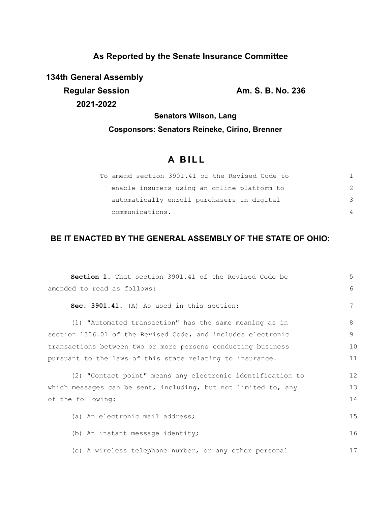## **As Reported by the Senate Insurance Committee**

**134th General Assembly Regular Session Am. S. B. No. 236 2021-2022**

**Senators Wilson, Lang**

# **Cosponsors: Senators Reineke, Cirino, Brenner**

# **A B I L L**

| To amend section 3901.41 of the Revised Code to |   |
|-------------------------------------------------|---|
| enable insurers using an online platform to     | 2 |
| automatically enroll purchasers in digital      | 3 |
| communications.                                 | 4 |

## **BE IT ENACTED BY THE GENERAL ASSEMBLY OF THE STATE OF OHIO:**

| <b>Section 1.</b> That section 3901.41 of the Revised Code be  | 5  |  |
|----------------------------------------------------------------|----|--|
| amended to read as follows:                                    | 6  |  |
| Sec. 3901.41. (A) As used in this section:                     | 7  |  |
| (1) "Automated transaction" has the same meaning as in         | 8  |  |
| section 1306.01 of the Revised Code, and includes electronic   | 9  |  |
| transactions between two or more persons conducting business   | 10 |  |
| pursuant to the laws of this state relating to insurance.      | 11 |  |
| (2) "Contact point" means any electronic identification to     | 12 |  |
| which messages can be sent, including, but not limited to, any | 13 |  |
| of the following:                                              |    |  |
| (a) An electronic mail address;                                | 15 |  |
| (b) An instant message identity;                               | 16 |  |
| (c) A wireless telephone number, or any other personal         | 17 |  |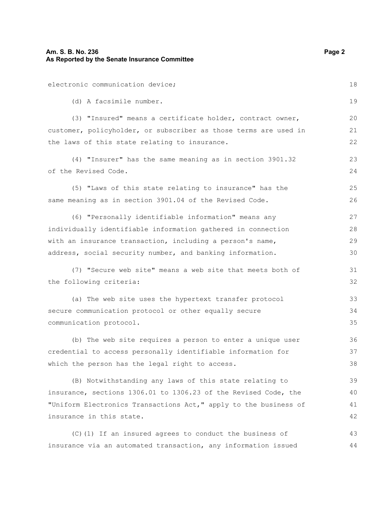## **Am. S. B. No. 236** Page 2 **As Reported by the Senate Insurance Committee**

| electronic communication device;                                 | 18 |
|------------------------------------------------------------------|----|
| (d) A facsimile number.                                          | 19 |
| (3) "Insured" means a certificate holder, contract owner,        | 20 |
| customer, policyholder, or subscriber as those terms are used in | 21 |
| the laws of this state relating to insurance.                    | 22 |
| (4) "Insurer" has the same meaning as in section 3901.32         | 23 |
| of the Revised Code.                                             | 24 |
| (5) "Laws of this state relating to insurance" has the           | 25 |
| same meaning as in section 3901.04 of the Revised Code.          | 26 |
| (6) "Personally identifiable information" means any              | 27 |
| individually identifiable information gathered in connection     | 28 |
| with an insurance transaction, including a person's name,        | 29 |
| address, social security number, and banking information.        | 30 |
| (7) "Secure web site" means a web site that meets both of        | 31 |
| the following criteria:                                          | 32 |
| (a) The web site uses the hypertext transfer protocol            | 33 |
| secure communication protocol or other equally secure            | 34 |
| communication protocol.                                          | 35 |
| (b) The web site requires a person to enter a unique user        | 36 |
| credential to access personally identifiable information for     | 37 |
| which the person has the legal right to access.                  | 38 |
| (B) Notwithstanding any laws of this state relating to           | 39 |
| insurance, sections 1306.01 to 1306.23 of the Revised Code, the  | 40 |
| "Uniform Electronics Transactions Act," apply to the business of | 41 |
| insurance in this state.                                         | 42 |
| (C) (1) If an insured agrees to conduct the business of          | 43 |
| insurance via an automated transaction, any information issued   | 44 |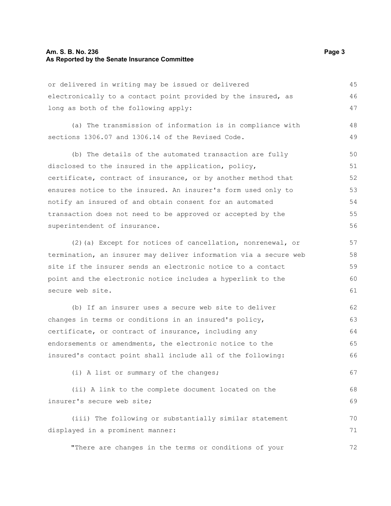#### **Am. S. B. No. 236 Page 3 As Reported by the Senate Insurance Committee**

or delivered in writing may be issued or delivered electronically to a contact point provided by the insured, as long as both of the following apply: 45 46 47

(a) The transmission of information is in compliance with sections 1306.07 and 1306.14 of the Revised Code. 48 49

(b) The details of the automated transaction are fully disclosed to the insured in the application, policy, certificate, contract of insurance, or by another method that ensures notice to the insured. An insurer's form used only to notify an insured of and obtain consent for an automated transaction does not need to be approved or accepted by the superintendent of insurance. 50 51 52 53 54 55 56

(2)(a) Except for notices of cancellation, nonrenewal, or termination, an insurer may deliver information via a secure web site if the insurer sends an electronic notice to a contact point and the electronic notice includes a hyperlink to the secure web site.

(b) If an insurer uses a secure web site to deliver changes in terms or conditions in an insured's policy, certificate, or contract of insurance, including any endorsements or amendments, the electronic notice to the insured's contact point shall include all of the following: 62 63 64 65 66

(i) A list or summary of the changes;

(ii) A link to the complete document located on the insurer's secure web site; 68 69

(iii) The following or substantially similar statement displayed in a prominent manner: 70 71

"There are changes in the terms or conditions of your

67

72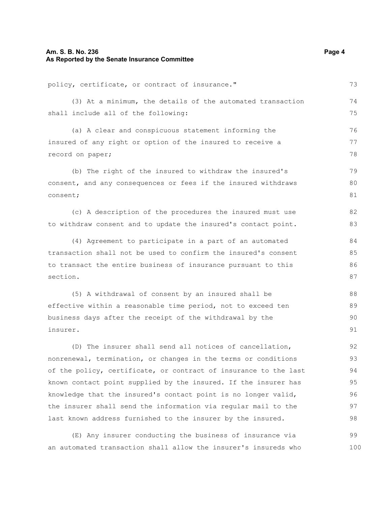## **Am. S. B. No. 236** Page 4 **As Reported by the Senate Insurance Committee**

| policy, certificate, or contract of insurance."                  | 73  |  |
|------------------------------------------------------------------|-----|--|
| (3) At a minimum, the details of the automated transaction       | 74  |  |
| shall include all of the following:                              | 75  |  |
| (a) A clear and conspicuous statement informing the              | 76  |  |
| insured of any right or option of the insured to receive a       |     |  |
| record on paper;                                                 | 78  |  |
| (b) The right of the insured to withdraw the insured's           | 79  |  |
| consent, and any consequences or fees if the insured withdraws   | 80  |  |
| consent;                                                         |     |  |
| (c) A description of the procedures the insured must use         | 82  |  |
| to withdraw consent and to update the insured's contact point.   | 83  |  |
| (4) Agreement to participate in a part of an automated           | 84  |  |
| transaction shall not be used to confirm the insured's consent   | 85  |  |
| to transact the entire business of insurance pursuant to this    |     |  |
| section.                                                         | 87  |  |
| (5) A withdrawal of consent by an insured shall be               | 88  |  |
| effective within a reasonable time period, not to exceed ten     | 89  |  |
| business days after the receipt of the withdrawal by the         | 90  |  |
| insurer.                                                         | 91  |  |
| (D) The insurer shall send all notices of cancellation,          | 92  |  |
| nonrenewal, termination, or changes in the terms or conditions   | 93  |  |
| of the policy, certificate, or contract of insurance to the last | 94  |  |
| known contact point supplied by the insured. If the insurer has  | 95  |  |
| knowledge that the insured's contact point is no longer valid,   | 96  |  |
| the insurer shall send the information via regular mail to the   |     |  |
| last known address furnished to the insurer by the insured.      | 98  |  |
| (E) Any insurer conducting the business of insurance via         | 99  |  |
| an automated transaction shall allow the insurer's insureds who  | 100 |  |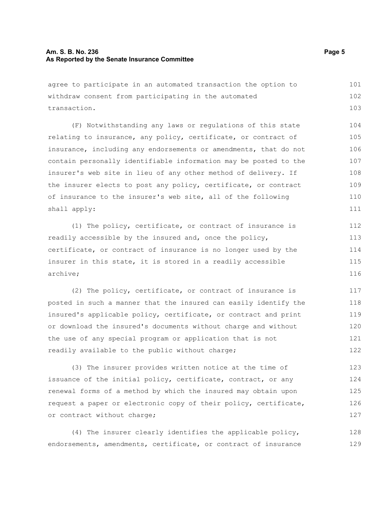### **Am. S. B. No. 236 Page 5** Page 5 **As Reported by the Senate Insurance Committee**

agree to participate in an automated transaction the option to withdraw consent from participating in the automated transaction. 101 102 103

(F) Notwithstanding any laws or regulations of this state relating to insurance, any policy, certificate, or contract of insurance, including any endorsements or amendments, that do not contain personally identifiable information may be posted to the insurer's web site in lieu of any other method of delivery. If the insurer elects to post any policy, certificate, or contract of insurance to the insurer's web site, all of the following shall apply: 104 105 106 107 108 109 110 111

(1) The policy, certificate, or contract of insurance is readily accessible by the insured and, once the policy, certificate, or contract of insurance is no longer used by the insurer in this state, it is stored in a readily accessible archive; 112 113 114 115 116

(2) The policy, certificate, or contract of insurance is posted in such a manner that the insured can easily identify the insured's applicable policy, certificate, or contract and print or download the insured's documents without charge and without the use of any special program or application that is not readily available to the public without charge; 117 118 119 120 121 122

(3) The insurer provides written notice at the time of issuance of the initial policy, certificate, contract, or any renewal forms of a method by which the insured may obtain upon request a paper or electronic copy of their policy, certificate, or contract without charge; 123 124 125 126 127

(4) The insurer clearly identifies the applicable policy, endorsements, amendments, certificate, or contract of insurance 128 129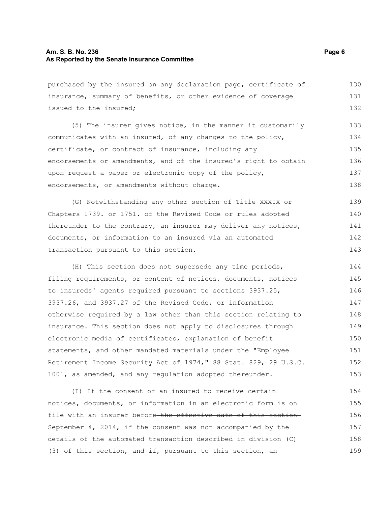#### **Am. S. B. No. 236** Page 6 **As Reported by the Senate Insurance Committee**

purchased by the insured on any declaration page, certificate of insurance, summary of benefits, or other evidence of coverage issued to the insured; 130 131 132

(5) The insurer gives notice, in the manner it customarily communicates with an insured, of any changes to the policy, certificate, or contract of insurance, including any endorsements or amendments, and of the insured's right to obtain upon request a paper or electronic copy of the policy, endorsements, or amendments without charge. 133 134 135 136 137 138

(G) Notwithstanding any other section of Title XXXIX or Chapters 1739. or 1751. of the Revised Code or rules adopted thereunder to the contrary, an insurer may deliver any notices, documents, or information to an insured via an automated transaction pursuant to this section. 139 140 141 142 143

(H) This section does not supersede any time periods, filing requirements, or content of notices, documents, notices to insureds' agents required pursuant to sections 3937.25, 3937.26, and 3937.27 of the Revised Code, or information otherwise required by a law other than this section relating to insurance. This section does not apply to disclosures through electronic media of certificates, explanation of benefit statements, and other mandated materials under the "Employee Retirement Income Security Act of 1974," 88 Stat. 829, 29 U.S.C. 1001, as amended, and any regulation adopted thereunder. 144 145 146 147 148 149 150 151 152 153

(I) If the consent of an insured to receive certain notices, documents, or information in an electronic form is on file with an insurer before-the effective date of this section-September 4, 2014, if the consent was not accompanied by the details of the automated transaction described in division (C) (3) of this section, and if, pursuant to this section, an 154 155 156 157 158 159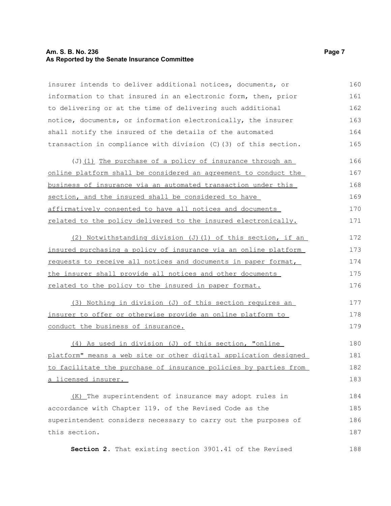### **Am. S. B. No. 236** Page 7 **As Reported by the Senate Insurance Committee**

insurer intends to deliver additional notices, documents, or information to that insured in an electronic form, then, prior to delivering or at the time of delivering such additional notice, documents, or information electronically, the insurer shall notify the insured of the details of the automated transaction in compliance with division (C)(3) of this section. 160 161 162 163 164 165

(J)(1) The purchase of a policy of insurance through an online platform shall be considered an agreement to conduct the business of insurance via an automated transaction under this section, and the insured shall be considered to have affirmatively consented to have all notices and documents related to the policy delivered to the insured electronically. 166 167 168 169 170 171

(2) Notwithstanding division (J)(1) of this section, if an insured purchasing a policy of insurance via an online platform requests to receive all notices and documents in paper format, the insurer shall provide all notices and other documents related to the policy to the insured in paper format. 172 173 174 175 176

(3) Nothing in division (J) of this section requires an insurer to offer or otherwise provide an online platform to conduct the business of insurance. 177 178 179

(4) As used in division (J) of this section, "online platform" means a web site or other digital application designed to facilitate the purchase of insurance policies by parties from a licensed insurer. 180 181 182 183

(K) The superintendent of insurance may adopt rules in accordance with Chapter 119. of the Revised Code as the superintendent considers necessary to carry out the purposes of this section. 184 185 186 187

**Section 2.** That existing section 3901.41 of the Revised 188